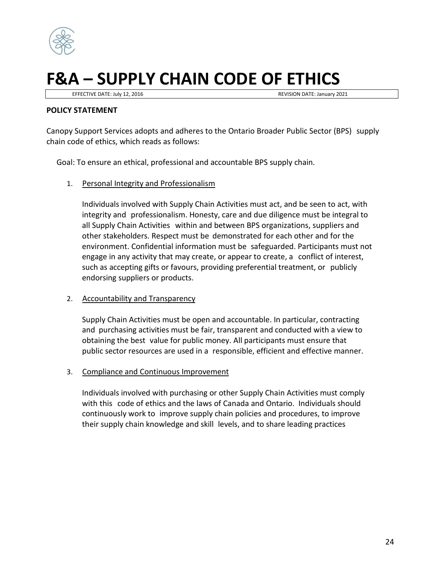

## **F&A – SUPPLY CHAIN CODE OF ETHICS**

EFFECTIVE DATE: July 12, 2016 **REVISION DATE: January 2021** 

## **POLICY STATEMENT**

Canopy Support Services adopts and adheres to the Ontario Broader Public Sector (BPS) supply chain code of ethics, which reads as follows:

Goal: To ensure an ethical, professional and accountable BPS supply chain.

1. Personal Integrity and Professionalism

Individuals involved with Supply Chain Activities must act, and be seen to act, with integrity and professionalism. Honesty, care and due diligence must be integral to all Supply Chain Activities within and between BPS organizations, suppliers and other stakeholders. Respect must be demonstrated for each other and for the environment. Confidential information must be safeguarded. Participants must not engage in any activity that may create, or appear to create, a conflict of interest, such as accepting gifts or favours, providing preferential treatment, or publicly endorsing suppliers or products.

## 2. Accountability and Transparency

Supply Chain Activities must be open and accountable. In particular, contracting and purchasing activities must be fair, transparent and conducted with a view to obtaining the best value for public money. All participants must ensure that public sector resources are used in a responsible, efficient and effective manner.

## 3. Compliance and Continuous Improvement

Individuals involved with purchasing or other Supply Chain Activities must comply with this code of ethics and the laws of Canada and Ontario. Individuals should continuously work to improve supply chain policies and procedures, to improve their supply chain knowledge and skill levels, and to share leading practices